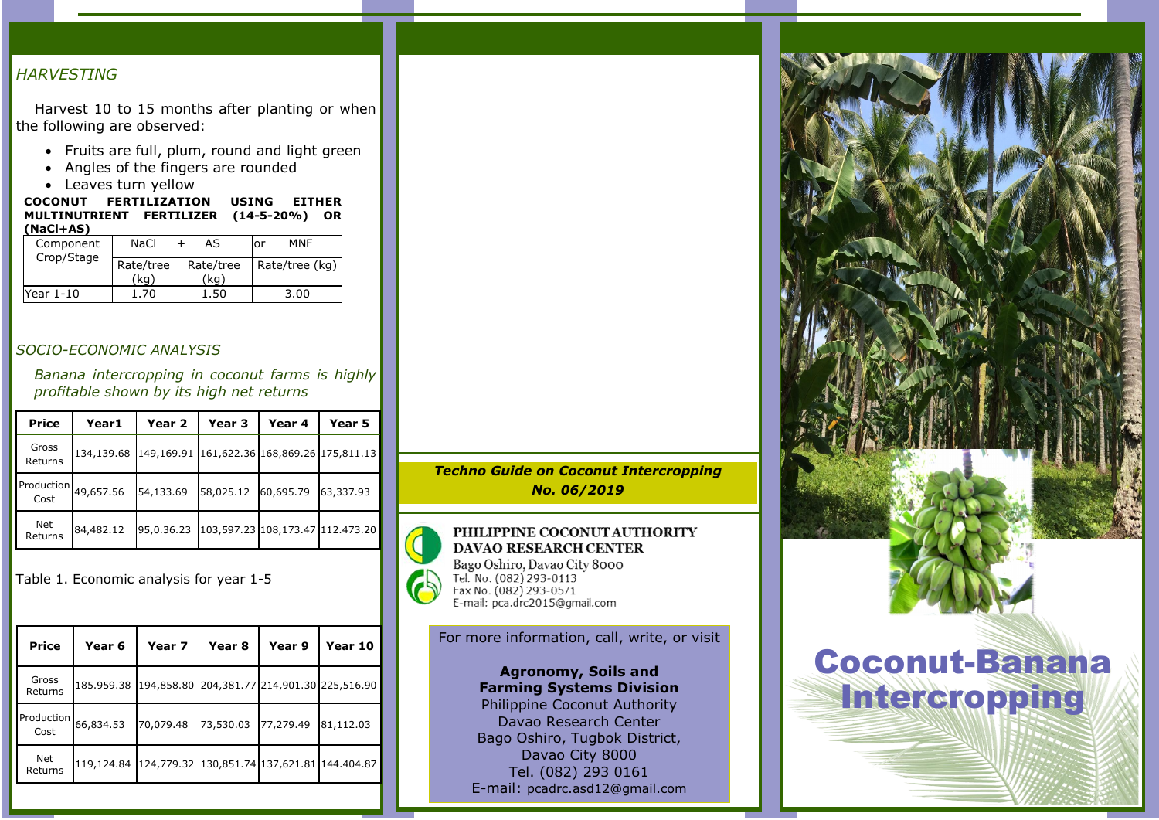## *HARVESTING*

Harvest 10 to 15 months after planting or when the following are observed:

- Fruits are full, plum, round and light green
- Angles of the fingers are rounded
- Leaves turn yellow

COCONUT FERTILIZATION USING EITHER MULTINUTRIENT FERTILIZER (14-5-20%) OR (NaCl+AS)

| Component<br>Crop/Stage | NaCl              | AS                | MNF<br>.or     |
|-------------------------|-------------------|-------------------|----------------|
|                         | Rate/tree<br>(ka) | Rate/tree<br>(ka) | Rate/tree (kg) |
| Year 1-10               | .70               | .50               | 3.00           |

#### *SOCIO-ECONOMIC ANALYSIS*

*Banana intercropping in coconut farms is highly profitable shown by its high net returns*

| <b>Price</b>     | Year1                     | Year <sub>2</sub>                           | Year 3                           | Year 4    | Year 5    |
|------------------|---------------------------|---------------------------------------------|----------------------------------|-----------|-----------|
| Gross<br>Returns | 134,139.68                | 149,169.91 161,622.36 168,869.26 175,811.13 |                                  |           |           |
| Cost             | Production $_{49,657.56}$ | 54,133.69                                   | 58,025.12                        | 60,695.79 | 63,337.93 |
| Net<br>Returns   | 84,482.12                 | 95,0,36,23                                  | 103,597.23 108,173.47 112.473.20 |           |           |

Table 1. Economic analysis for year 1-5

| <b>Price</b>       | Year 6                                                 | Year 7     | Year 8                           | Year 9    | Year 10   |
|--------------------|--------------------------------------------------------|------------|----------------------------------|-----------|-----------|
| Gross<br>Returns   | 185.959.38                                             | 194,858.80 | 204,381.77 214,901.30 225,516.90 |           |           |
| Production<br>Cost | 66,834.53                                              | 70,079.48  | 73,530.03                        | 77,279.49 | 81,112.03 |
| Net<br>Returns     | 119,124.84 124,779.32 130,851.74 137,621.81 144.404.87 |            |                                  |           |           |

*Techno Guide on Coconut Intercropping No. 06/2019*



PHILIPPINE COCONUT AUTHORITY **DAVAO RESEARCH CENTER** Bago Oshiro, Davao City 8000<br>Tel. No. (082) 293-0113 Fax No. (082) 293-0571

#### For more information, call, write, or visit

Agronomy, Soils and Farming Systems Division Philippine Coconut Authority Davao Research Center Bago Oshiro, Tugbok District, Davao City 8000 Tel. (082) 293 0161 E-mail: pcadrc.asd12@gmail.com